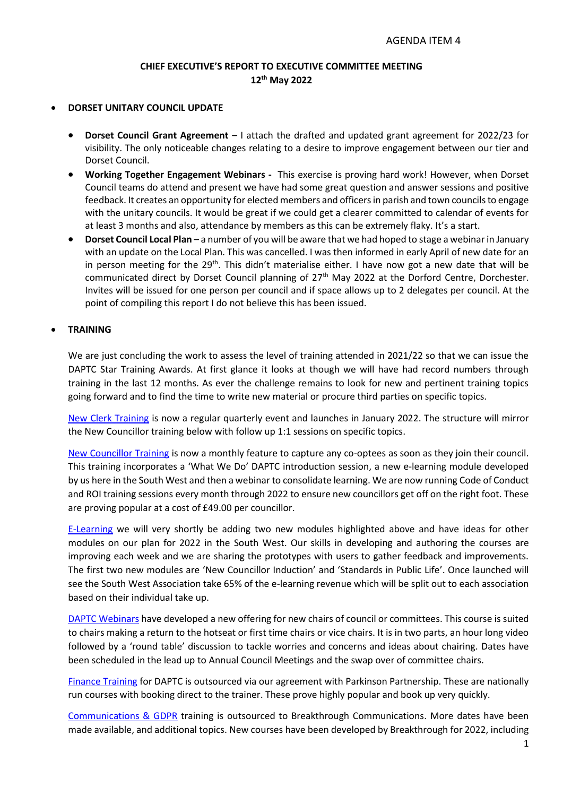# **CHIEF EXECUTIVE'S REPORT TO EXECUTIVE COMMITTEE MEETING 12th May 2022**

#### • **DORSET UNITARY COUNCIL UPDATE**

- **Dorset Council Grant Agreement** I attach the drafted and updated grant agreement for 2022/23 for visibility. The only noticeable changes relating to a desire to improve engagement between our tier and Dorset Council.
- **Working Together Engagement Webinars -** This exercise is proving hard work! However, when Dorset Council teams do attend and present we have had some great question and answer sessions and positive feedback. It creates an opportunity for elected members and officers in parish and town councils to engage with the unitary councils. It would be great if we could get a clearer committed to calendar of events for at least 3 months and also, attendance by members as this can be extremely flaky. It's a start.
- **Dorset Council Local Plan**  a number of you will be aware that we had hoped to stage a webinar in January with an update on the Local Plan. This was cancelled. I was then informed in early April of new date for an in person meeting for the 29<sup>th</sup>. This didn't materialise either. I have now got a new date that will be communicated direct by Dorset Council planning of 27<sup>th</sup> May 2022 at the Dorford Centre, Dorchester. Invites will be issued for one person per council and if space allows up to 2 delegates per council. At the point of compiling this report I do not believe this has been issued.

#### • **TRAINING**

We are just concluding the work to assess the level of training attended in 2021/22 so that we can issue the DAPTC Star Training Awards. At first glance it looks at though we will have had record numbers through training in the last 12 months. As ever the challenge remains to look for new and pertinent training topics going forward and to find the time to write new material or procure third parties on specific topics.

[New Clerk Training](https://www.dorset-aptc.gov.uk/New_Clerks_38794.aspx) is now a regular quarterly event and launches in January 2022. The structure will mirror the New Councillor training below with follow up 1:1 sessions on specific topics.

[New Councillor Training](https://www.dorset-aptc.gov.uk/New_Councillors_38795.aspx) is now a monthly feature to capture any co-optees as soon as they join their council. This training incorporates a 'What We Do' DAPTC introduction session, a new e-learning module developed by us here in the South West and then a webinar to consolidate learning. We are now running Code of Conduct and ROI training sessions every month through 2022 to ensure new councillors get off on the right foot. These are proving popular at a cost of £49.00 per councillor.

[E-Learning](https://www.dorset-aptc.gov.uk/E-Learning_33375.aspx) we will very shortly be adding two new modules highlighted above and have ideas for other modules on our plan for 2022 in the South West. Our skills in developing and authoring the courses are improving each week and we are sharing the prototypes with users to gather feedback and improvements. The first two new modules are 'New Councillor Induction' and 'Standards in Public Life'. Once launched will see the South West Association take 65% of the e-learning revenue which will be split out to each association based on their individual take up.

[DAPTC Webinars](https://www.dorset-aptc.gov.uk/Online__and__Webinars_33374.aspx) have developed a new offering for new chairs of council or committees. This course is suited to chairs making a return to the hotseat or first time chairs or vice chairs. It is in two parts, an hour long video followed by a 'round table' discussion to tackle worries and concerns and ideas about chairing. Dates have been scheduled in the lead up to Annual Council Meetings and the swap over of committee chairs.

[Finance Training](https://www.dorset-aptc.gov.uk/Council_Finance_38796.aspx) for DAPTC is outsourced via our agreement with Parkinson Partnership. These are nationally run courses with booking direct to the trainer. These prove highly popular and book up very quickly.

[Communications & GDPR](https://www.dorset-aptc.gov.uk/Council_Communications_38797.aspx) training is outsourced to Breakthrough Communications. More dates have been made available, and additional topics. New courses have been developed by Breakthrough for 2022, including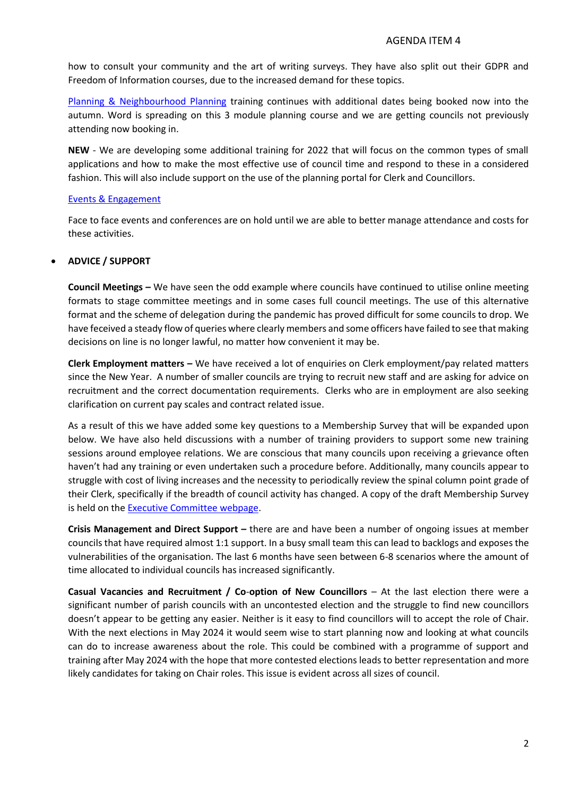how to consult your community and the art of writing surveys. They have also split out their GDPR and Freedom of Information courses, due to the increased demand for these topics.

[Planning & Neighbourhood Planning](https://www.dorset-aptc.gov.uk/Planning_Training_38798.aspx) training continues with additional dates being booked now into the autumn. Word is spreading on this 3 module planning course and we are getting councils not previously attending now booking in.

**NEW** - We are developing some additional training for 2022 that will focus on the common types of small applications and how to make the most effective use of council time and respond to these in a considered fashion. This will also include support on the use of the planning portal for Clerk and Councillors.

#### [Events & Engagement](https://www.dorset-aptc.gov.uk/Events__and__Engagement_33373.aspx)

Face to face events and conferences are on hold until we are able to better manage attendance and costs for these activities.

# • **ADVICE / SUPPORT**

**Council Meetings –** We have seen the odd example where councils have continued to utilise online meeting formats to stage committee meetings and in some cases full council meetings. The use of this alternative format and the scheme of delegation during the pandemic has proved difficult for some councils to drop. We have feceived a steady flow of queries where clearly members and some officers have failed to see that making decisions on line is no longer lawful, no matter how convenient it may be.

**Clerk Employment matters –** We have received a lot of enquiries on Clerk employment/pay related matters since the New Year. A number of smaller councils are trying to recruit new staff and are asking for advice on recruitment and the correct documentation requirements. Clerks who are in employment are also seeking clarification on current pay scales and contract related issue.

As a result of this we have added some key questions to a Membership Survey that will be expanded upon below. We have also held discussions with a number of training providers to support some new training sessions around employee relations. We are conscious that many councils upon receiving a grievance often haven't had any training or even undertaken such a procedure before. Additionally, many councils appear to struggle with cost of living increases and the necessity to periodically review the spinal column point grade of their Clerk, specifically if the breadth of council activity has changed. A copy of the draft Membership Survey is held on the [Executive Committee webpage.](https://www.dorset-aptc.gov.uk/Executive_Committee_Meetings_27167.aspx)

**Crisis Management and Direct Support –** there are and have been a number of ongoing issues at member councils that have required almost 1:1 support. In a busy small team this can lead to backlogs and exposes the vulnerabilities of the organisation. The last 6 months have seen between 6-8 scenarios where the amount of time allocated to individual councils has increased significantly.

**Casual Vacancies and Recruitment / Co**-**option of New Councillors** – At the last election there were a significant number of parish councils with an uncontested election and the struggle to find new councillors doesn't appear to be getting any easier. Neither is it easy to find councillors will to accept the role of Chair. With the next elections in May 2024 it would seem wise to start planning now and looking at what councils can do to increase awareness about the role. This could be combined with a programme of support and training after May 2024 with the hope that more contested elections leads to better representation and more likely candidates for taking on Chair roles. This issue is evident across all sizes of council.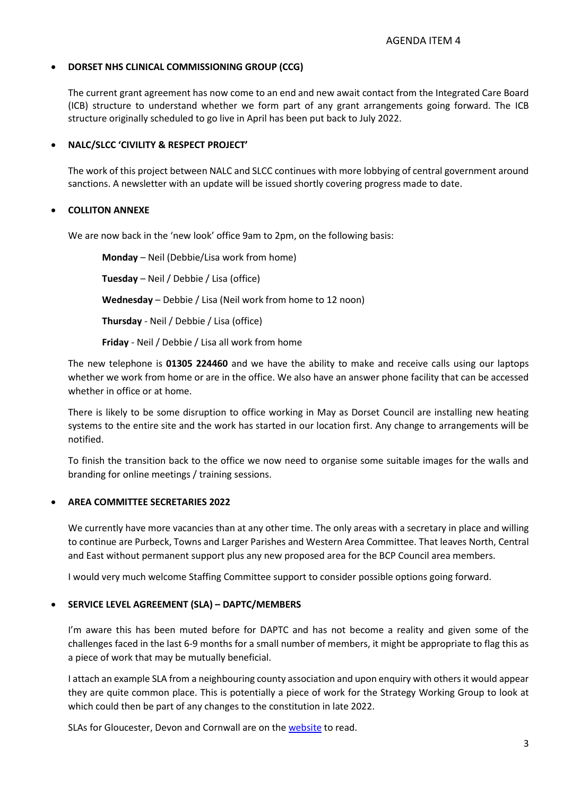# • **DORSET NHS CLINICAL COMMISSIONING GROUP (CCG)**

The current grant agreement has now come to an end and new await contact from the Integrated Care Board (ICB) structure to understand whether we form part of any grant arrangements going forward. The ICB structure originally scheduled to go live in April has been put back to July 2022.

# • **NALC/SLCC 'CIVILITY & RESPECT PROJECT'**

The work of this project between NALC and SLCC continues with more lobbying of central government around sanctions. A newsletter with an update will be issued shortly covering progress made to date.

# • **COLLITON ANNEXE**

We are now back in the 'new look' office 9am to 2pm, on the following basis:

**Monday** – Neil (Debbie/Lisa work from home) **Tuesday** – Neil / Debbie / Lisa (office) **Wednesday** – Debbie / Lisa (Neil work from home to 12 noon) **Thursday** - Neil / Debbie / Lisa (office) **Friday** - Neil / Debbie / Lisa all work from home

The new telephone is **01305 224460** and we have the ability to make and receive calls using our laptops whether we work from home or are in the office. We also have an answer phone facility that can be accessed whether in office or at home.

There is likely to be some disruption to office working in May as Dorset Council are installing new heating systems to the entire site and the work has started in our location first. Any change to arrangements will be notified.

To finish the transition back to the office we now need to organise some suitable images for the walls and branding for online meetings / training sessions.

# • **AREA COMMITTEE SECRETARIES 2022**

We currently have more vacancies than at any other time. The only areas with a secretary in place and willing to continue are Purbeck, Towns and Larger Parishes and Western Area Committee. That leaves North, Central and East without permanent support plus any new proposed area for the BCP Council area members.

I would very much welcome Staffing Committee support to consider possible options going forward.

# • **SERVICE LEVEL AGREEMENT (SLA) – DAPTC/MEMBERS**

I'm aware this has been muted before for DAPTC and has not become a reality and given some of the challenges faced in the last 6-9 months for a small number of members, it might be appropriate to flag this as a piece of work that may be mutually beneficial.

I attach an example SLA from a neighbouring county association and upon enquiry with others it would appear they are quite common place. This is potentially a piece of work for the Strategy Working Group to look at which could then be part of any changes to the constitution in late 2022.

SLAs for Gloucester, Devon and Cornwall are on the [website](https://www.dorset-aptc.gov.uk/Executive_Committee_Meetings_27167.aspx) to read.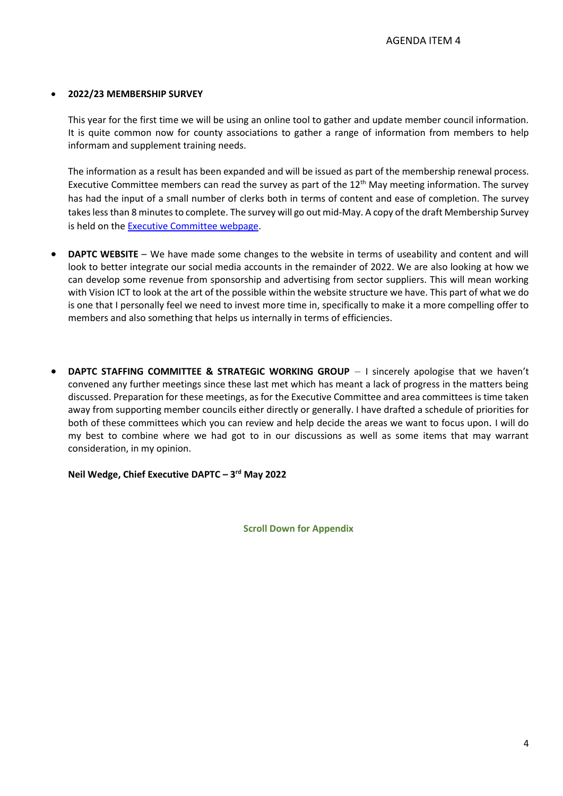### • **2022/23 MEMBERSHIP SURVEY**

This year for the first time we will be using an online tool to gather and update member council information. It is quite common now for county associations to gather a range of information from members to help informam and supplement training needs.

The information as a result has been expanded and will be issued as part of the membership renewal process. Executive Committee members can read the survey as part of the 12<sup>th</sup> May meeting information. The survey has had the input of a small number of clerks both in terms of content and ease of completion. The survey takes less than 8 minutes to complete. The survey will go out mid-May. A copy of the draft Membership Survey is held on the [Executive Committee webpage.](https://www.dorset-aptc.gov.uk/Executive_Committee_Meetings_27167.aspx)

- **DAPTC WEBSITE** We have made some changes to the website in terms of useability and content and will look to better integrate our social media accounts in the remainder of 2022. We are also looking at how we can develop some revenue from sponsorship and advertising from sector suppliers. This will mean working with Vision ICT to look at the art of the possible within the website structure we have. This part of what we do is one that I personally feel we need to invest more time in, specifically to make it a more compelling offer to members and also something that helps us internally in terms of efficiencies.
- **DAPTC STAFFING COMMITTEE & STRATEGIC WORKING GROUP** I sincerely apologise that we haven't convened any further meetings since these last met which has meant a lack of progress in the matters being discussed. Preparation for these meetings, as for the Executive Committee and area committees is time taken away from supporting member councils either directly or generally. I have drafted a schedule of priorities for both of these committees which you can review and help decide the areas we want to focus upon. I will do my best to combine where we had got to in our discussions as well as some items that may warrant consideration, in my opinion.

### **Neil Wedge, Chief Executive DAPTC – 3 rd May 2022**

**Scroll Down for Appendix**